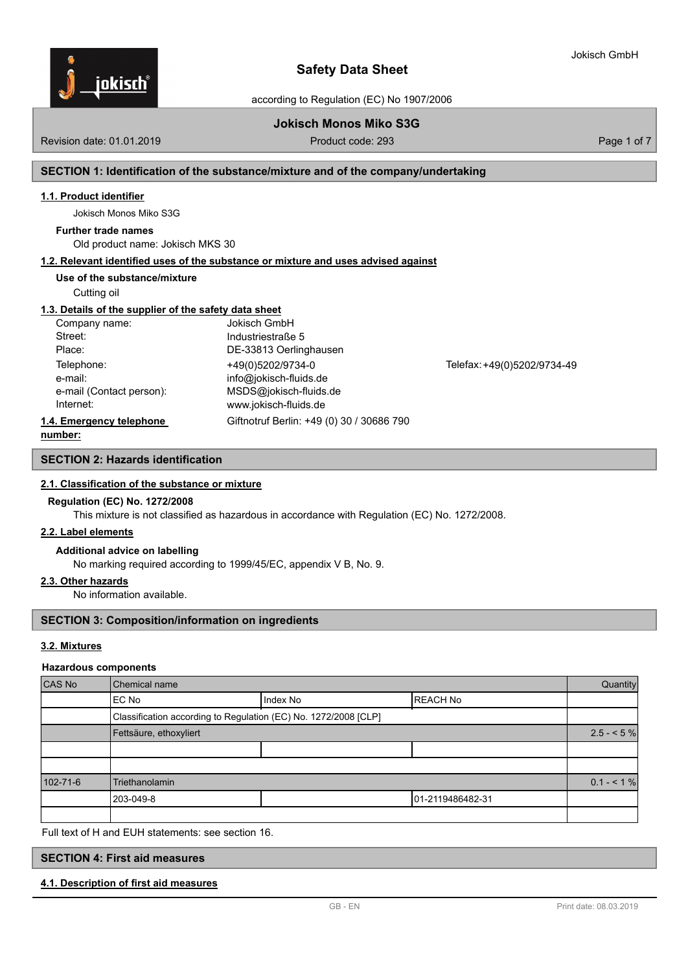

according to Regulation (EC) No 1907/2006

# **Jokisch Monos Miko S3G**

Revision date: 01.01.2019 **Product code: 293** Product code: 293 **Page 1 of 7** Page 1 of 7

## **SECTION 1: Identification of the substance/mixture and of the company/undertaking**

#### **1.1. Product identifier**

Jokisch Monos Miko S3G

#### **Further trade names**

Old product name: Jokisch MKS 30

### **1.2. Relevant identified uses of the substance or mixture and uses advised against**

### **Use of the substance/mixture**

Cutting oil

### **1.3. Details of the supplier of the safety data sheet**

| Company name:            | <b>Jokisch GmbH</b>                       |                             |
|--------------------------|-------------------------------------------|-----------------------------|
| Street:                  | Industriestraße 5                         |                             |
| Place:                   | DE-33813 Oerlinghausen                    |                             |
| Telephone:               | +49(0)5202/9734-0                         | Telefax: +49(0)5202/9734-49 |
| e-mail:                  | info@jokisch-fluids.de                    |                             |
| e-mail (Contact person): | MSDS@jokisch-fluids.de                    |                             |
| Internet:                | www.jokisch-fluids.de                     |                             |
| 1.4. Emergency telephone | Giftnotruf Berlin: +49 (0) 30 / 30686 790 |                             |

## **number:**

# **SECTION 2: Hazards identification**

### **2.1. Classification of the substance or mixture**

#### **Regulation (EC) No. 1272/2008**

This mixture is not classified as hazardous in accordance with Regulation (EC) No. 1272/2008.

#### **2.2. Label elements**

#### **Additional advice on labelling**

No marking required according to 1999/45/EC, appendix V B, No. 9.

# **2.3. Other hazards**

No information available.

# **SECTION 3: Composition/information on ingredients**

## **3.2. Mixtures**

#### **Hazardous components**

| CAS No   | Chemical name                                                   |            |                  |              |
|----------|-----------------------------------------------------------------|------------|------------------|--------------|
|          | IEC No                                                          | I Index No | IREACH No        |              |
|          | Classification according to Regulation (EC) No. 1272/2008 [CLP] |            |                  |              |
|          | Fettsäure, ethoxyliert                                          |            |                  | $2.5 - 5\%$  |
|          |                                                                 |            |                  |              |
|          |                                                                 |            |                  |              |
| 102-71-6 | <b>Triethanolamin</b>                                           |            |                  | $0.1 - 51\%$ |
|          | 203-049-8                                                       |            | 01-2119486482-31 |              |
|          |                                                                 |            |                  |              |

Full text of H and EUH statements: see section 16.

# **SECTION 4: First aid measures**

### **4.1. Description of first aid measures**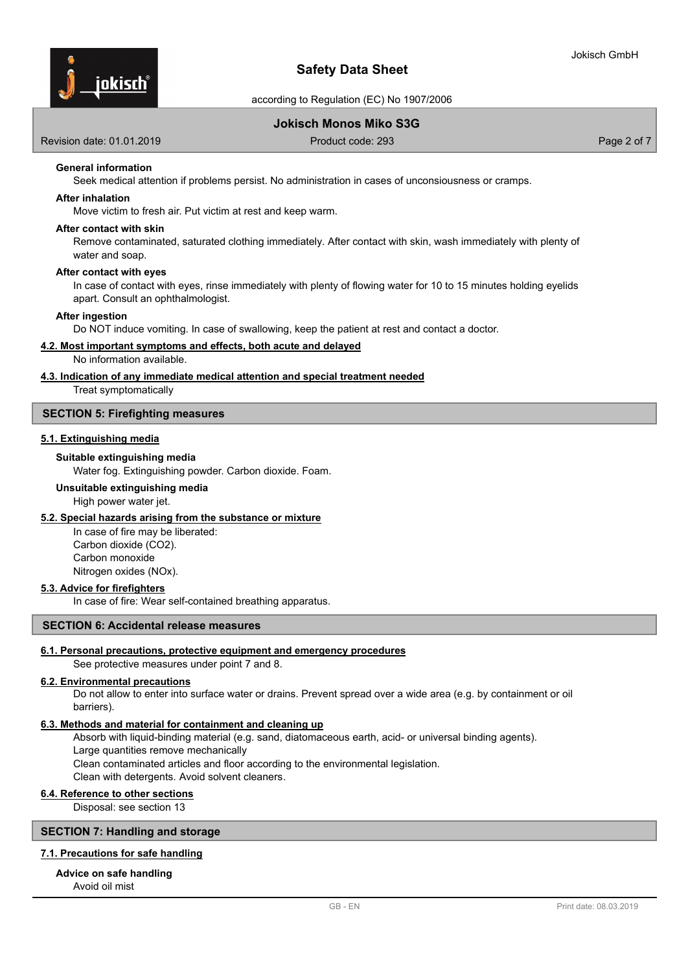

according to Regulation (EC) No 1907/2006

# **Jokisch Monos Miko S3G**

Revision date: 01.01.2019 **Product code: 293** Product code: 293 **Page 2 of 7** Page 2 of 7

# **General information**

Seek medical attention if problems persist. No administration in cases of unconsiousness or cramps.

# **After inhalation**

Move victim to fresh air. Put victim at rest and keep warm.

## **After contact with skin**

Remove contaminated, saturated clothing immediately. After contact with skin, wash immediately with plenty of water and soap.

#### **After contact with eyes**

In case of contact with eyes, rinse immediately with plenty of flowing water for 10 to 15 minutes holding eyelids apart. Consult an ophthalmologist.

#### **After ingestion**

Do NOT induce vomiting. In case of swallowing, keep the patient at rest and contact a doctor.

#### **4.2. Most important symptoms and effects, both acute and delayed**

No information available.

# **4.3. Indication of any immediate medical attention and special treatment needed**

Treat symptomatically

#### **SECTION 5: Firefighting measures**

#### **5.1. Extinguishing media**

#### **Suitable extinguishing media**

Water fog. Extinguishing powder. Carbon dioxide. Foam.

### **Unsuitable extinguishing media**

High power water jet.

#### **5.2. Special hazards arising from the substance or mixture**

In case of fire may be liberated: Carbon dioxide (CO2). Carbon monoxide Nitrogen oxides (NOx).

# **5.3. Advice for firefighters**

In case of fire: Wear self-contained breathing apparatus.

#### **SECTION 6: Accidental release measures**

#### **6.1. Personal precautions, protective equipment and emergency procedures**

# See protective measures under point 7 and 8.

#### **6.2. Environmental precautions**

Do not allow to enter into surface water or drains. Prevent spread over a wide area (e.g. by containment or oil barriers).

### **6.3. Methods and material for containment and cleaning up**

Absorb with liquid-binding material (e.g. sand, diatomaceous earth, acid- or universal binding agents). Large quantities remove mechanically Clean contaminated articles and floor according to the environmental legislation. Clean with detergents. Avoid solvent cleaners.

#### **6.4. Reference to other sections**

Disposal: see section 13

# **SECTION 7: Handling and storage**

# **7.1. Precautions for safe handling**

**Advice on safe handling**

Avoid oil mist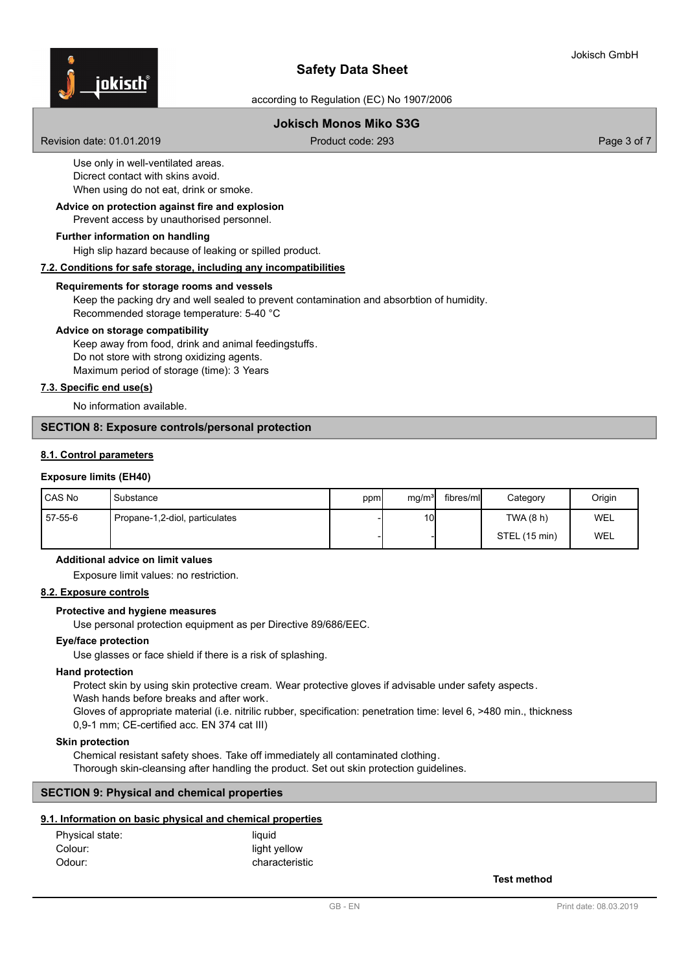

according to Regulation (EC) No 1907/2006

# **Jokisch Monos Miko S3G**

Revision date: 01.01.2019 **Product code: 293** Product code: 293 **Page 3 of 7** Page 3 of 7

Use only in well-ventilated areas. Dicrect contact with skins avoid. When using do not eat, drink or smoke.

### Prevent access by unauthorised personnel. **Advice on protection against fire and explosion**

# **Further information on handling**

High slip hazard because of leaking or spilled product.

# **7.2. Conditions for safe storage, including any incompatibilities**

#### **Requirements for storage rooms and vessels**

Keep the packing dry and well sealed to prevent contamination and absorbtion of humidity. Recommended storage temperature: 5-40 °C

# **Advice on storage compatibility**

Keep away from food, drink and animal feedingstuffs. Do not store with strong oxidizing agents. Maximum period of storage (time): 3 Years

# **7.3. Specific end use(s)**

No information available.

## **SECTION 8: Exposure controls/personal protection**

# **8.1. Control parameters**

### **Exposure limits (EH40)**

| CAS No  | Substance                      | ppm | mg/m <sup>3</sup> | fibres/ml | Category      | Origin |
|---------|--------------------------------|-----|-------------------|-----------|---------------|--------|
| 57-55-6 | Propane-1,2-diol, particulates |     | 10 <sup>1</sup>   |           | TWA (8 h)     | WEL    |
|         |                                |     |                   |           | STEL (15 min) | WEL    |

#### **Additional advice on limit values**

Exposure limit values: no restriction.

# **8.2. Exposure controls**

#### **Protective and hygiene measures**

Use personal protection equipment as per Directive 89/686/EEC.

#### **Eye/face protection**

Use glasses or face shield if there is a risk of splashing.

#### **Hand protection**

Protect skin by using skin protective cream. Wear protective gloves if advisable under safety aspects.

Wash hands before breaks and after work.

Gloves of appropriate material (i.e. nitrilic rubber, specification: penetration time: level 6, >480 min., thickness 0,9-1 mm; CE-certified acc. EN 374 cat III)

### **Skin protection**

Chemical resistant safety shoes. Take off immediately all contaminated clothing. Thorough skin-cleansing after handling the product. Set out skin protection guidelines.

### **SECTION 9: Physical and chemical properties**

# **9.1. Information on basic physical and chemical properties**

| Physical state: | liauid         |
|-----------------|----------------|
| Colour:         | light yellow   |
| Odour:          | characteristic |

**Test method**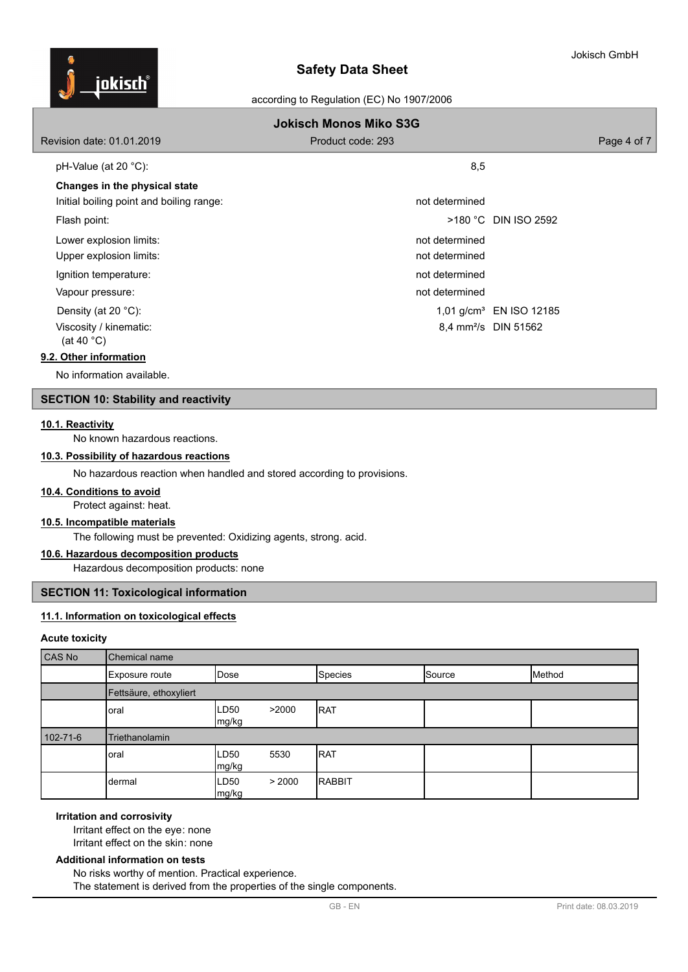

# according to Regulation (EC) No 1907/2006

| <b>Jokisch Monos Miko S3G</b>                  |                   |                                     |  |  |
|------------------------------------------------|-------------------|-------------------------------------|--|--|
| Revision date: 01.01.2019                      | Product code: 293 | Page 4 of 7                         |  |  |
| pH-Value (at 20 $^{\circ}$ C):                 | 8,5               |                                     |  |  |
| Changes in the physical state                  |                   |                                     |  |  |
| Initial boiling point and boiling range:       | not determined    |                                     |  |  |
| Flash point:                                   |                   | >180 °C DIN ISO 2592                |  |  |
| Lower explosion limits:                        | not determined    |                                     |  |  |
| Upper explosion limits:                        | not determined    |                                     |  |  |
| Ignition temperature:                          | not determined    |                                     |  |  |
| Vapour pressure:                               | not determined    |                                     |  |  |
| Density (at 20 $^{\circ}$ C):                  |                   | 1,01 g/cm <sup>3</sup> EN ISO 12185 |  |  |
| Viscosity / kinematic:<br>(at 40 $^{\circ}$ C) |                   | 8,4 mm <sup>2</sup> /s DIN 51562    |  |  |

## **9.2. Other information**

No information available.

# **SECTION 10: Stability and reactivity**

### **10.1. Reactivity**

No known hazardous reactions.

# **10.3. Possibility of hazardous reactions**

No hazardous reaction when handled and stored according to provisions.

# **10.4. Conditions to avoid**

# Protect against: heat.

# **10.5. Incompatible materials**

The following must be prevented: Oxidizing agents, strong. acid.

# **10.6. Hazardous decomposition products**

Hazardous decomposition products: none

# **SECTION 11: Toxicological information**

# **11.1. Information on toxicological effects**

### **Acute toxicity**

| CAS No         | Chemical name          |                           |        |                |        |        |
|----------------|------------------------|---------------------------|--------|----------------|--------|--------|
|                | Exposure route         | <b>Dose</b>               |        | Species        | Source | Method |
|                | Fettsäure, ethoxyliert |                           |        |                |        |        |
|                | oral                   | LD <sub>50</sub><br>mg/kg | >2000  | <b>RAT</b>     |        |        |
| $102 - 71 - 6$ | Triethanolamin         |                           |        |                |        |        |
|                | oral                   | ILD50<br>mg/kg            | 5530   | <b>RAT</b>     |        |        |
|                | dermal                 | LD50<br>mg/kg             | > 2000 | <b>IRABBIT</b> |        |        |

# **Irritation and corrosivity**

Irritant effect on the eye: none Irritant effect on the skin: none

# **Additional information on tests**

No risks worthy of mention. Practical experience. The statement is derived from the properties of the single components.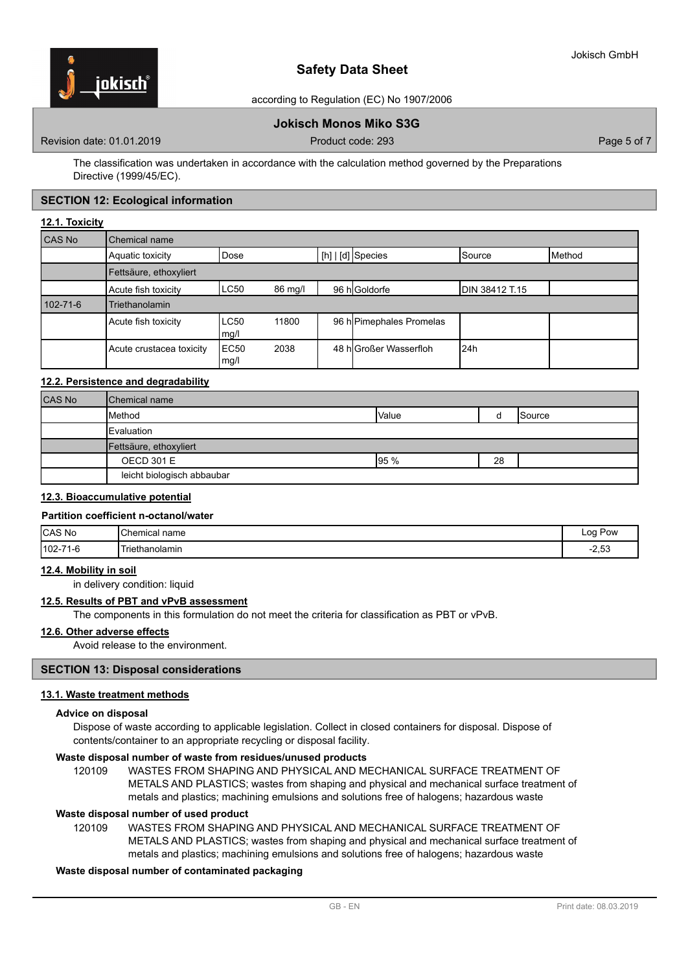

according to Regulation (EC) No 1907/2006

# **Jokisch Monos Miko S3G**

Revision date: 01.01.2019 **Product code: 293** Product code: 293 **Page 5 of 7** Page 5 of 7

The classification was undertaken in accordance with the calculation method governed by the Preparations Directive (1999/45/EC).

# **SECTION 12: Ecological information**

#### **12.1. Toxicity**

| CAS No         | Chemical name            |              |         |  |                          |                |        |
|----------------|--------------------------|--------------|---------|--|--------------------------|----------------|--------|
|                | Aquatic toxicity         | Dose         |         |  | [h]   [d] Species        | Source         | Method |
|                | Fettsäure, ethoxyliert   |              |         |  |                          |                |        |
|                | Acute fish toxicity      | LC50         | 86 mg/l |  | 96 h Goldorfe            | DIN 38412 T.15 |        |
| $102 - 71 - 6$ | <b>Triethanolamin</b>    |              |         |  |                          |                |        |
|                | Acute fish toxicity      | LC50<br>mg/l | 11800   |  | 96 h Pimephales Promelas |                |        |
|                | Acute crustacea toxicity | EC50<br>mg/l | 2038    |  | 48 hlGroßer Wasserfloh   | l24h           |        |

# **12.2. Persistence and degradability**

| <b>CAS No</b> | <b>Chemical name</b>       |       |    |        |
|---------------|----------------------------|-------|----|--------|
|               | <b>Method</b>              | Value |    | Source |
|               | Evaluation                 |       |    |        |
|               | Fettsäure, ethoxyliert     |       |    |        |
|               | <b>OECD 301 E</b>          | 95%   | 28 |        |
|               | leicht biologisch abbaubar |       |    |        |

# **12.3. Bioaccumulative potential**

#### **Partition coefficient n-octanol/water**

| <b>CAS No</b>                | <b>I</b> Chemical name<br>____                                    | Log<br>Pow<br>___ |
|------------------------------|-------------------------------------------------------------------|-------------------|
| $102 -$<br>$74^\circ$<br>-10 | Triethanolamin<br>the contract of the contract of the contract of | ה ה<br>−∠,ບພ      |

#### **12.4. Mobility in soil**

in delivery condition: liquid

#### **12.5. Results of PBT and vPvB assessment**

The components in this formulation do not meet the criteria for classification as PBT or vPvB.

#### **12.6. Other adverse effects**

Avoid release to the environment.

# **SECTION 13: Disposal considerations**

# **13.1. Waste treatment methods**

### **Advice on disposal**

Dispose of waste according to applicable legislation. Collect in closed containers for disposal. Dispose of contents/container to an appropriate recycling or disposal facility.

#### **Waste disposal number of waste from residues/unused products**

120109 WASTES FROM SHAPING AND PHYSICAL AND MECHANICAL SURFACE TREATMENT OF METALS AND PLASTICS; wastes from shaping and physical and mechanical surface treatment of metals and plastics; machining emulsions and solutions free of halogens; hazardous waste

#### **Waste disposal number of used product**

WASTES FROM SHAPING AND PHYSICAL AND MECHANICAL SURFACE TREATMENT OF METALS AND PLASTICS; wastes from shaping and physical and mechanical surface treatment of metals and plastics; machining emulsions and solutions free of halogens; hazardous waste 120109

# **Waste disposal number of contaminated packaging**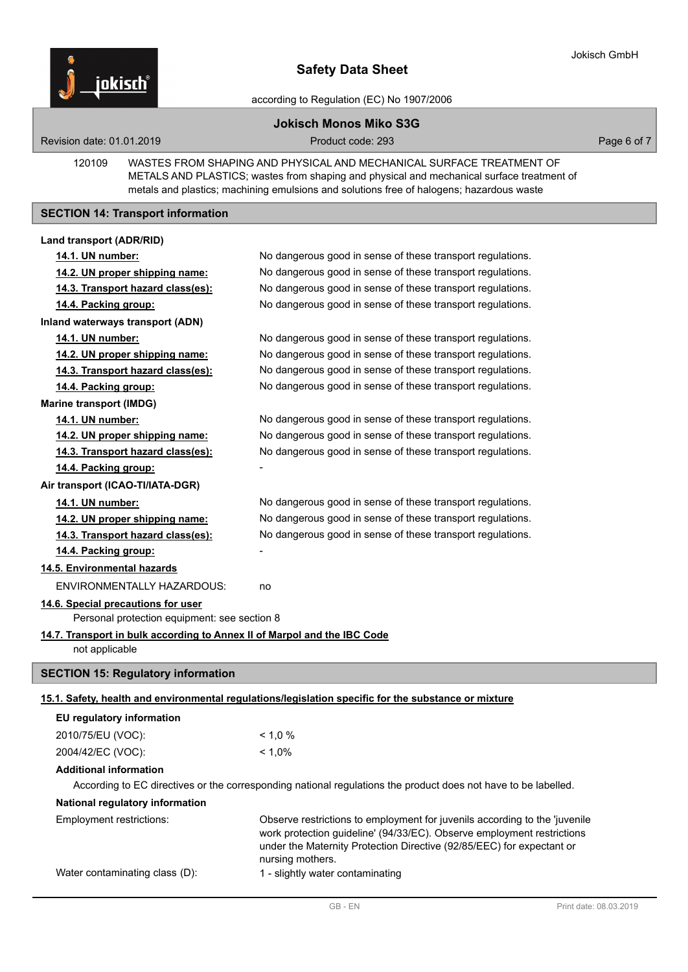

according to Regulation (EC) No 1907/2006

# **Jokisch Monos Miko S3G**

Revision date: 01.01.2019 **Product code: 293** Product code: 293 **Page 6 of 7** Page 6 of 7

WASTES FROM SHAPING AND PHYSICAL AND MECHANICAL SURFACE TREATMENT OF METALS AND PLASTICS; wastes from shaping and physical and mechanical surface treatment of metals and plastics; machining emulsions and solutions free of halogens; hazardous waste 120109

# **SECTION 14: Transport information**

# **Land transport (ADR/RID)**

| 14.1. UN number:                                                         | No dangerous good in sense of these transport regulations.                                                     |
|--------------------------------------------------------------------------|----------------------------------------------------------------------------------------------------------------|
| 14.2. UN proper shipping name:                                           | No dangerous good in sense of these transport regulations.                                                     |
| 14.3. Transport hazard class(es):                                        | No dangerous good in sense of these transport regulations.                                                     |
| 14.4. Packing group:                                                     | No dangerous good in sense of these transport regulations.                                                     |
| <b>Inland waterways transport (ADN)</b>                                  |                                                                                                                |
| 14.1. UN number:                                                         | No dangerous good in sense of these transport regulations.                                                     |
| 14.2. UN proper shipping name:                                           | No dangerous good in sense of these transport regulations.                                                     |
| 14.3. Transport hazard class(es):                                        | No dangerous good in sense of these transport regulations.                                                     |
| 14.4. Packing group:                                                     | No dangerous good in sense of these transport regulations.                                                     |
| <b>Marine transport (IMDG)</b>                                           |                                                                                                                |
| 14.1. UN number:                                                         | No dangerous good in sense of these transport regulations.                                                     |
| 14.2. UN proper shipping name:                                           | No dangerous good in sense of these transport regulations.                                                     |
| 14.3. Transport hazard class(es):                                        | No dangerous good in sense of these transport regulations.                                                     |
| 14.4. Packing group:                                                     |                                                                                                                |
| Air transport (ICAO-TI/IATA-DGR)                                         |                                                                                                                |
| 14.1. UN number:                                                         | No dangerous good in sense of these transport regulations.                                                     |
| 14.2. UN proper shipping name:                                           | No dangerous good in sense of these transport regulations.                                                     |
| 14.3. Transport hazard class(es):                                        | No dangerous good in sense of these transport regulations.                                                     |
| 14.4. Packing group:                                                     |                                                                                                                |
| 14.5. Environmental hazards                                              |                                                                                                                |
| ENVIRONMENTALLY HAZARDOUS:                                               | no                                                                                                             |
| 14.6. Special precautions for user                                       |                                                                                                                |
| Personal protection equipment: see section 8                             |                                                                                                                |
| 14.7. Transport in bulk according to Annex II of Marpol and the IBC Code |                                                                                                                |
| not applicable                                                           |                                                                                                                |
| <b>SECTION 15: Regulatory information</b>                                |                                                                                                                |
|                                                                          | 15.1. Safety, health and environmental regulations/legislation specific for the substance or mixture           |
| EU regulatory information                                                |                                                                                                                |
| 2010/75/EU (VOC):                                                        | < 1.0 %                                                                                                        |
| 2004/42/EC (VOC):                                                        | $< 1,0\%$                                                                                                      |
|                                                                          |                                                                                                                |
| <b>Additional information</b>                                            | According to EC directives or the corresponding national regulations the product does not have to be labelled. |
| National regulatory information                                          |                                                                                                                |
| Employment restrictions:                                                 | Observe restrictions to employment for juvenils according to the 'juvenile                                     |
|                                                                          | work protection guideline' (94/33/EC). Observe employment restrictions                                         |

under the Maternity Protection Directive (92/85/EEC) for expectant or